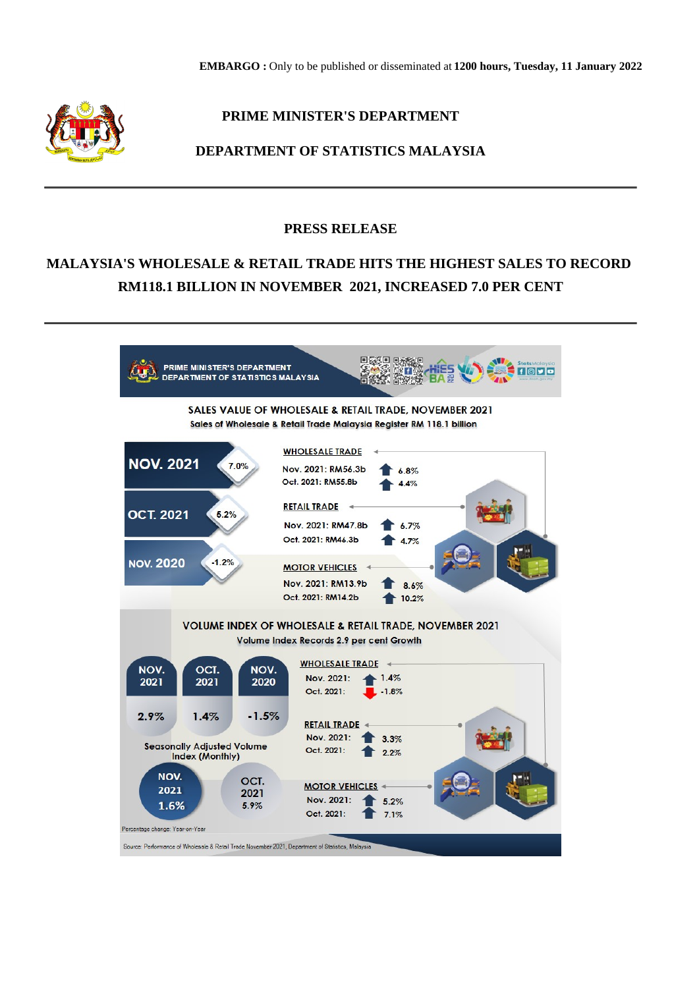

## **PRIME MINISTER'S DEPARTMENT**

## **DEPARTMENT OF STATISTICS MALAYSIA**

## **PRESS RELEASE**

# **MALAYSIA'S WHOLESALE & RETAIL TRADE HITS THE HIGHEST SALES TO RECORD RM118.1 BILLION IN NOVEMBER 2021, INCREASED 7.0 PER CENT**

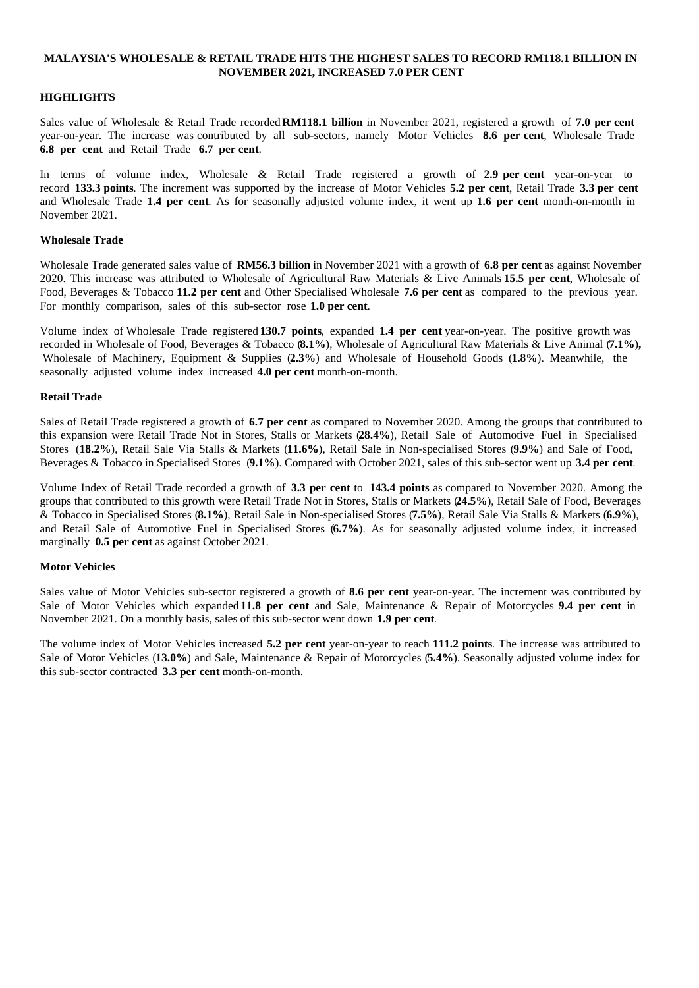#### **MALAYSIA'S WHOLESALE & RETAIL TRADE HITS THE HIGHEST SALES TO RECORD RM118.1 BILLION IN NOVEMBER 2021, INCREASED 7.0 PER CENT**

### **HIGHLIGHTS**

Sales value of Wholesale & Retail Trade recorded **RM118.1 billion** in November 2021, registered a growth of **7.0 per cent** year-on-year. The increase was contributed by all sub-sectors, namely Motor Vehicles **8.6 per cent**, Wholesale Trade **6.8 per cent** and Retail Trade **6.7 per cent**.

In terms of volume index, Wholesale & Retail Trade registered a growth of **2.9 per cent** year-on-year to record **133.3 points**. The increment was supported by the increase of Motor Vehicles **5.2 per cent**, Retail Trade **3.3 per cent** and Wholesale Trade **1.4 per cent**. As for seasonally adjusted volume index, it went up **1.6 per cent** month-on-month in November 2021.

#### **Wholesale Trade**

Wholesale Trade generated sales value of **RM56.3 billion** in November 2021 with a growth of **6.8 per cent** as against November 2020. This increase was attributed to Wholesale of Agricultural Raw Materials & Live Animals **15.5 per cent**, Wholesale of Food, Beverages & Tobacco **11.2 per cent** and Other Specialised Wholesale **7.6 per cent** as compared to the previous year. For monthly comparison, sales of this sub-sector rose **1.0 per cent**.

Volume index of Wholesale Trade registered **130.7 points**, expanded **1.4 per cent** year-on-year. The positive growth was recorded in Wholesale of Food, Beverages & Tobacco (**8.1%**), Wholesale of Agricultural Raw Materials & Live Animal (**7.1%**)**,** Wholesale of Machinery, Equipment & Supplies (**2.3%**) and Wholesale of Household Goods (**1.8%**). Meanwhile, the seasonally adjusted volume index increased **4.0 per cent** month-on-month.

#### **Retail Trade**

Sales of Retail Trade registered a growth of **6.7 per cent** as compared to November 2020. Among the groups that contributed to this expansion were Retail Trade Not in Stores, Stalls or Markets (**28.4%**), Retail Sale of Automotive Fuel in Specialised Stores (**18.2%**), Retail Sale Via Stalls & Markets (**11.6%**), Retail Sale in Non-specialised Stores (**9.9%**) and Sale of Food, Beverages & Tobacco in Specialised Stores (**9.1%**). Compared with October 2021, sales of this sub-sector went up **3.4 per cent**.

Volume Index of Retail Trade recorded a growth of **3.3 per cent** to **143.4 points** as compared to November 2020. Among the groups that contributed to this growth were Retail Trade Not in Stores, Stalls or Markets (**24.5%**), Retail Sale of Food, Beverages & Tobacco in Specialised Stores (**8.1%**), Retail Sale in Non-specialised Stores (**7.5%**), Retail Sale Via Stalls & Markets (**6.9%**), and Retail Sale of Automotive Fuel in Specialised Stores (**6.7%**). As for seasonally adjusted volume index, it increased marginally **0.5 per cent** as against October 2021.

#### **Motor Vehicles**

Sales value of Motor Vehicles sub-sector registered a growth of **8.6 per cent** year-on-year. The increment was contributed by Sale of Motor Vehicles which expanded **11.8 per cent** and Sale, Maintenance & Repair of Motorcycles **9.4 per cent** in November 2021. On a monthly basis, sales of this sub-sector went down **1.9 per cent**.

The volume index of Motor Vehicles increased **5.2 per cent** year-on-year to reach **111.2 points**. The increase was attributed to Sale of Motor Vehicles (**13.0%**) and Sale, Maintenance & Repair of Motorcycles (**5.4%**). Seasonally adjusted volume index for this sub-sector contracted **3.3 per cent** month-on-month.